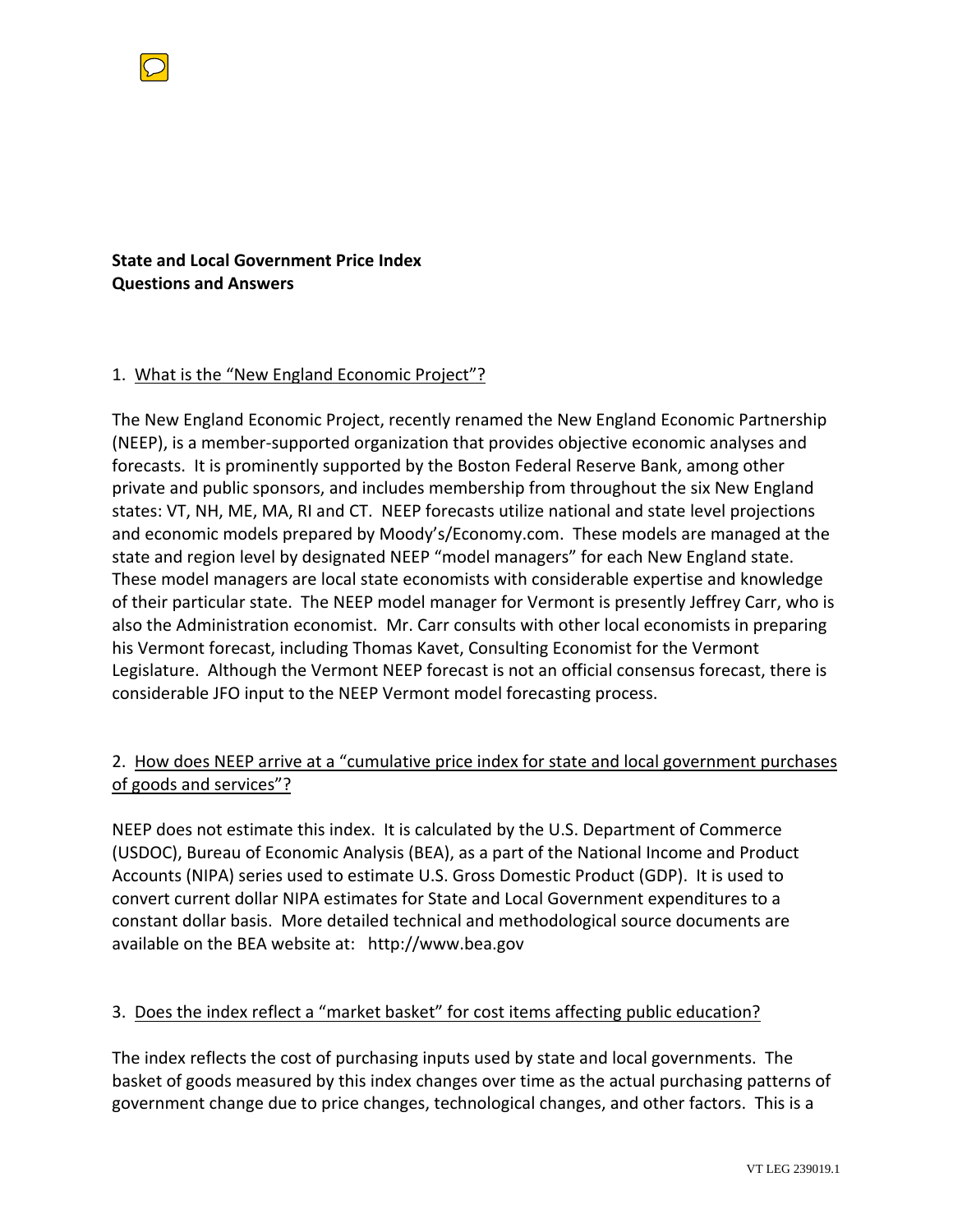

**State and Local Government Price Index Questions and Answers**

#### 1. What is the "New England Economic Project"?

The New England Economic Project, recently renamed the New England Economic Partnership (NEEP), is a member‐supported organization that provides objective economic analyses and forecasts. It is prominently supported by the Boston Federal Reserve Bank, among other private and public sponsors, and includes membership from throughout the six New England states: VT, NH, ME, MA, RI and CT. NEEP forecasts utilize national and state level projections and economic models prepared by Moody's/Economy.com. These models are managed at the state and region level by designated NEEP "model managers" for each New England state. These model managers are local state economists with considerable expertise and knowledge of their particular state. The NEEP model manager for Vermont is presently Jeffrey Carr, who is also the Administration economist. Mr. Carr consults with other local economists in preparing his Vermont forecast, including Thomas Kavet, Consulting Economist for the Vermont Legislature. Although the Vermont NEEP forecast is not an official consensus forecast, there is considerable JFO input to the NEEP Vermont model forecasting process.

# 2. How does NEEP arrive at a "cumulative price index for state and local government purchases of goods and services"?

NEEP does not estimate this index. It is calculated by the U.S. Department of Commerce (USDOC), Bureau of Economic Analysis (BEA), as a part of the National Income and Product Accounts (NIPA) series used to estimate U.S. Gross Domestic Product (GDP). It is used to convert current dollar NIPA estimates for State and Local Government expenditures to a constant dollar basis. More detailed technical and methodological source documents are available on the BEA website at: http://www.bea.gov

#### 3. Does the index reflect a "market basket" for cost items affecting public education?

The index reflects the cost of purchasing inputs used by state and local governments. The basket of goods measured by this index changes over time as the actual purchasing patterns of government change due to price changes, technological changes, and other factors. This is a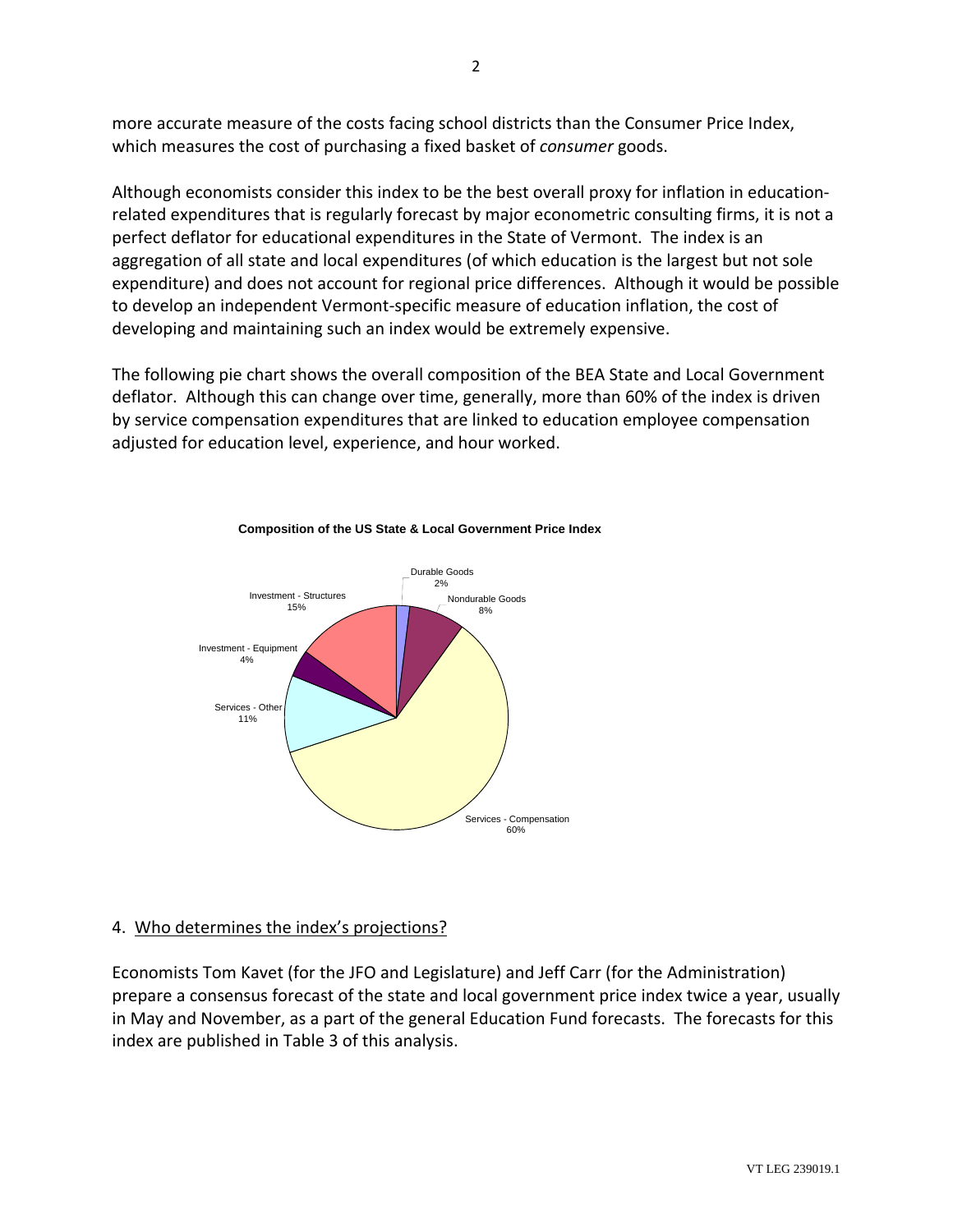more accurate measure of the costs facing school districts than the Consumer Price Index, which measures the cost of purchasing a fixed basket of *consumer* goods.

Although economists consider this index to be the best overall proxy for inflation in education‐ related expenditures that is regularly forecast by major econometric consulting firms, it is not a perfect deflator for educational expenditures in the State of Vermont. The index is an aggregation of all state and local expenditures (of which education is the largest but not sole expenditure) and does not account for regional price differences. Although it would be possible to develop an independent Vermont‐specific measure of education inflation, the cost of developing and maintaining such an index would be extremely expensive.

The following pie chart shows the overall composition of the BEA State and Local Government deflator. Although this can change over time, generally, more than 60% of the index is driven by service compensation expenditures that are linked to education employee compensation adjusted for education level, experience, and hour worked.





# 4. Who determines the index's projections?

Economists Tom Kavet (for the JFO and Legislature) and Jeff Carr (for the Administration) prepare a consensus forecast of the state and local government price index twice a year, usually in May and November, as a part of the general Education Fund forecasts. The forecasts for this index are published in Table 3 of this analysis.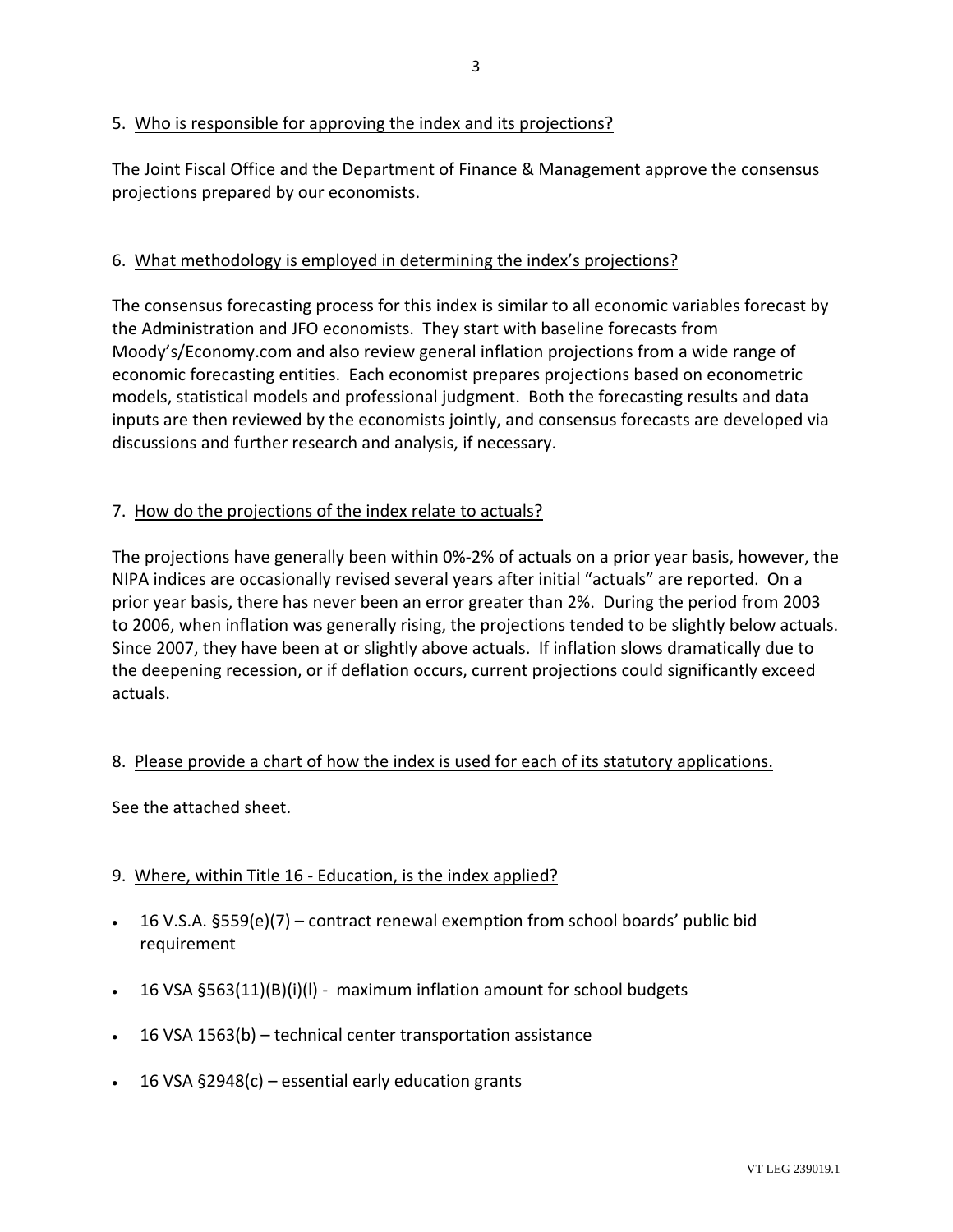#### 5. Who is responsible for approving the index and its projections?

The Joint Fiscal Office and the Department of Finance & Management approve the consensus rojections prepared by our economists. p

# 6. What methodology is employed in determining the index's projections?

The consensus forecasting process for this index is similar to all economic variables forecast by inputs are then reviewed by the economists jointly, and consensus forecasts are developed via discussions and further research and analysis, if necessary. the Administration and JFO economists. They start with baseline forecasts from Moody's/Economy.com and also review general inflation projections from a wide range of economic forecasting entities. Each economist prepares projections based on econometric models, statistical models and professional judgment. Both the forecasting results and data

# 7. How do the projections of the index relate to actuals?

The projections have generally been within 0%-2% of actuals on a prior year basis, however, the to 2006, when inflation was generally rising, the projections tended to be slightly below actuals. the deepening recession, or if deflation occurs, current projections could significantly exceed actuals. NIPA indices are occasionally revised several years after initial "actuals" are reported. On a prior year basis, there has never been an error greater than 2%. During the period from 2003 Since 2007, they have been at or slightly above actuals. If inflation slows dramatically due to

#### 8. Please provide a chart of how the index is used for each of its statutory applications.

See the attached sheet.

#### 9. Where, within Title 16 - Education, is the index applied?

- $\bullet$  16 V.S.A. §559(e)(7) contract renewal exemption from school boards' public bid requirement
- 16 VSA §563(11)(B)(i)(I) maximum inflation amount for school budgets
- 16 VSA 1563(b) technical center transportation assistance •
- 16 VSA §2948(c) essential early education grants •